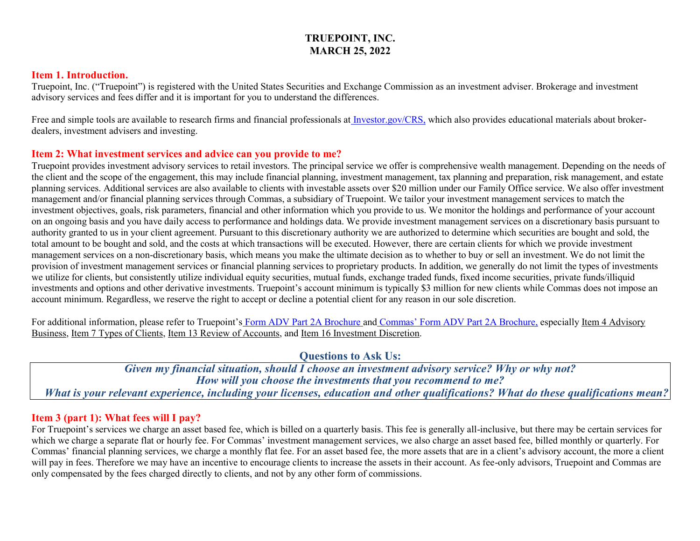# **TRUEPOINT, INC. MARCH 25, 2022**

#### **Item 1. Introduction.**

Truepoint, Inc. ("Truepoint") is registered with the United States Securities and Exchange Commission as an investment adviser. Brokerage and investment advisory services and fees differ and it is important for you to understand the differences.

Free and simple tools are available to research firms and financial professionals at [Investor.gov/CRS,](https://www.investor.gov/home/welcome-investor-gov-crs) which also provides educational materials about brokerdealers, investment advisers and investing.

#### **Item 2: What investment services and advice can you provide to me?**

Truepoint provides investment advisory services to retail investors. The principal service we offer is comprehensive wealth management. Depending on the needs of the client and the scope of the engagement, this may include financial planning, investment management, tax planning and preparation, risk management, and estate planning services. Additional services are also available to clients with investable assets over \$20 million under our Family Office service. We also offer investment management and/or financial planning services through Commas, a subsidiary of Truepoint. We tailor your investment management services to match the investment objectives, goals, risk parameters, financial and other information which you provide to us. We monitor the holdings and performance of your account on an ongoing basis and you have daily access to performance and holdings data. We provide investment management services on a discretionary basis pursuant to authority granted to us in your client agreement. Pursuant to this discretionary authority we are authorized to determine which securities are bought and sold, the total amount to be bought and sold, and the costs at which transactions will be executed. However, there are certain clients for which we provide investment management services on a non-discretionary basis, which means you make the ultimate decision as to whether to buy or sell an investment. We do not limit the provision of investment management services or financial planning services to proprietary products. In addition, we generally do not limit the types of investments we utilize for clients, but consistently utilize individual equity securities, mutual funds, exchange traded funds, fixed income securities, private funds/illiquid investments and options and other derivative investments. Truepoint's account minimum is typically \$3 million for new clients while Commas does not impose an account minimum. Regardless, we reserve the right to accept or decline a potential client for any reason in our sole discretion.

For additional information, please refer to Truepoint's [Form ADV Part 2A Brochure](https://adviserinfo.sec.gov/firm/summary/105664) and [Commas' Form ADV Part 2A Brochure](https://adviserinfo.sec.gov/firm/summary/105664), especially Item 4 Advisory Business, Item 7 Types of Clients, Item 13 Review of Accounts, and Item 16 Investment Discretion.

**Questions to Ask Us:**

*Given my financial situation, should I choose an investment advisory service? Why or why not? How will you choose the investments that you recommend to me? What is your relevant experience, including your licenses, education and other qualifications? What do these qualifications mean?*

#### **Item 3 (part 1): What fees will I pay?**

For Truepoint's services we charge an asset based fee, which is billed on a quarterly basis. This fee is generally all-inclusive, but there may be certain services for which we charge a separate flat or hourly fee. For Commas' investment management services, we also charge an asset based fee, billed monthly or quarterly. For Commas' financial planning services, we charge a monthly flat fee. For an asset based fee, the more assets that are in a client's advisory account, the more a client will pay in fees. Therefore we may have an incentive to encourage clients to increase the assets in their account. As fee-only advisors, Truepoint and Commas are only compensated by the fees charged directly to clients, and not by any other form of commissions.